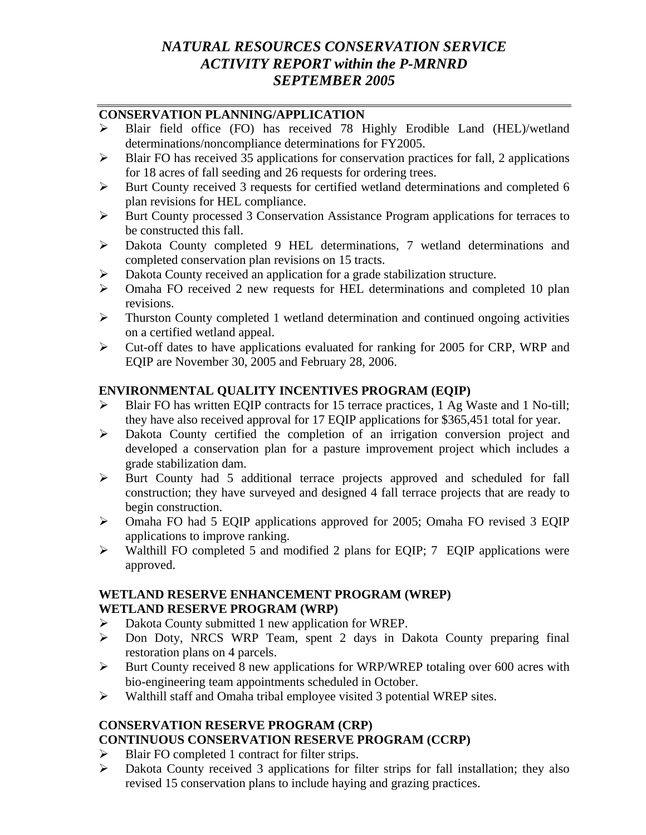# *NATURAL RESOURCES CONSERVATION SERVICE ACTIVITY REPORT within the P-MRNRD SEPTEMBER 2005*

### **CONSERVATION PLANNING/APPLICATION**

- ¾ Blair field office (FO) has received 78 Highly Erodible Land (HEL)/wetland determinations/noncompliance determinations for FY2005.
- $\triangleright$  Blair FO has received 35 applications for conservation practices for fall, 2 applications for 18 acres of fall seeding and 26 requests for ordering trees.
- ¾ Burt County received 3 requests for certified wetland determinations and completed 6 plan revisions for HEL compliance.
- ¾ Burt County processed 3 Conservation Assistance Program applications for terraces to be constructed this fall.
- ¾ Dakota County completed 9 HEL determinations, 7 wetland determinations and completed conservation plan revisions on 15 tracts.
- ¾ Dakota County received an application for a grade stabilization structure.
- ¾ Omaha FO received 2 new requests for HEL determinations and completed 10 plan revisions.
- $\triangleright$  Thurston County completed 1 wetland determination and continued ongoing activities on a certified wetland appeal.
- ¾ Cut-off dates to have applications evaluated for ranking for 2005 for CRP, WRP and EQIP are November 30, 2005 and February 28, 2006.

## **ENVIRONMENTAL QUALITY INCENTIVES PROGRAM (EQIP)**

- ¾ Blair FO has written EQIP contracts for 15 terrace practices, 1 Ag Waste and 1 No-till; they have also received approval for 17 EQIP applications for \$365,451 total for year.
- ¾ Dakota County certified the completion of an irrigation conversion project and developed a conservation plan for a pasture improvement project which includes a grade stabilization dam.
- ¾ Burt County had 5 additional terrace projects approved and scheduled for fall construction; they have surveyed and designed 4 fall terrace projects that are ready to begin construction.
- ¾ Omaha FO had 5 EQIP applications approved for 2005; Omaha FO revised 3 EQIP applications to improve ranking.
- ¾ Walthill FO completed 5 and modified 2 plans for EQIP; 7 EQIP applications were approved.

### **WETLAND RESERVE ENHANCEMENT PROGRAM (WREP) WETLAND RESERVE PROGRAM (WRP)**

- ¾ Dakota County submitted 1 new application for WREP.
- ¾ Don Doty, NRCS WRP Team, spent 2 days in Dakota County preparing final restoration plans on 4 parcels.
- ¾ Burt County received 8 new applications for WRP/WREP totaling over 600 acres with bio-engineering team appointments scheduled in October.
- ¾ Walthill staff and Omaha tribal employee visited 3 potential WREP sites.

## **CONSERVATION RESERVE PROGRAM (CRP)**

## **CONTINUOUS CONSERVATION RESERVE PROGRAM (CCRP)**

- $\triangleright$  Blair FO completed 1 contract for filter strips.
- ¾ Dakota County received 3 applications for filter strips for fall installation; they also revised 15 conservation plans to include haying and grazing practices.